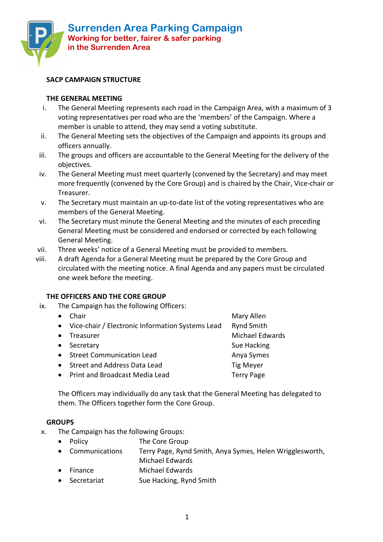

## **SACP CAMPAIGN STRUCTURE**

#### **THE GENERAL MEETING**

- i. The General Meeting represents each road in the Campaign Area, with a maximum of 3 voting representatives per road who are the 'members' of the Campaign. Where a member is unable to attend, they may send a voting substitute.
- ii. The General Meeting sets the objectives of the Campaign and appoints its groups and officers annually.
- iii. The groups and officers are accountable to the General Meeting for the delivery of the objectives.
- iv. The General Meeting must meet quarterly (convened by the Secretary) and may meet more frequently (convened by the Core Group) and is chaired by the Chair, Vice-chair or Treasurer.
- v. The Secretary must maintain an up-to-date list of the voting representatives who are members of the General Meeting.
- vi. The Secretary must minute the General Meeting and the minutes of each preceding General Meeting must be considered and endorsed or corrected by each following General Meeting.
- vii. Three weeks' notice of a General Meeting must be provided to members.
- viii. A draft Agenda for a General Meeting must be prepared by the Core Group and circulated with the meeting notice. A final Agenda and any papers must be circulated one week before the meeting.

### **THE OFFICERS AND THE CORE GROUP**

ix. The Campaign has the following Officers:

| Chair                                            | Mary Allen             |
|--------------------------------------------------|------------------------|
| Vice-chair / Electronic Information Systems Lead | <b>Rynd Smith</b>      |
| Treasurer                                        | <b>Michael Edwards</b> |
| Secretary                                        | Sue Hacking            |
| <b>Street Communication Lead</b>                 | Anya Symes             |
| Street and Address Data Lead                     | <b>Tig Meyer</b>       |
| <b>Print and Broadcast Media Lead</b>            | <b>Terry Page</b>      |
|                                                  |                        |

The Officers may individually do any task that the General Meeting has delegated to them. The Officers together form the Core Group.

#### **GROUPS**

- x. The Campaign has the following Groups:
	- Policy **The Core Group**
	- Communications Terry Page, Rynd Smith, Anya Symes, Helen Wrigglesworth,
	- Michael Edwards • Finance Michael Edwards
	- Secretariat Sue Hacking, Rynd Smith